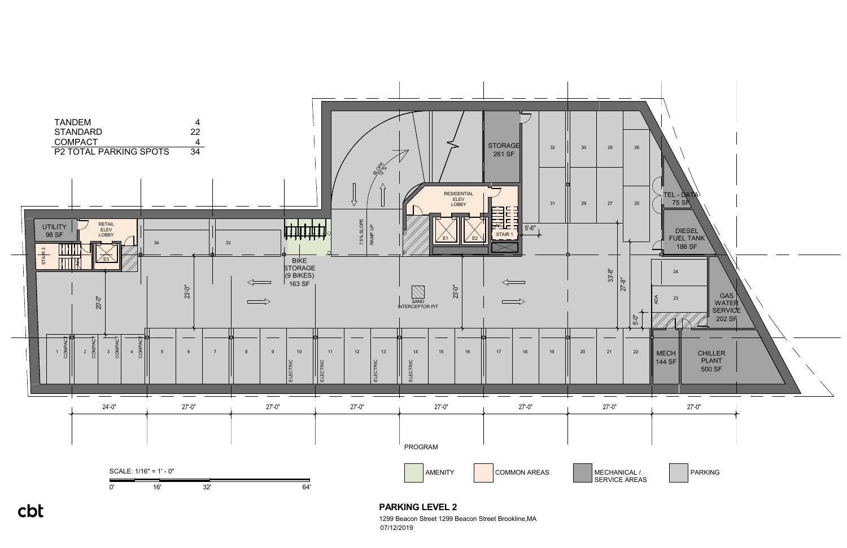

**PARKING LEVEL 2** 1299 Beacon Street 1299 Beacon Street Brookline,MA

07/12/2019

## cbt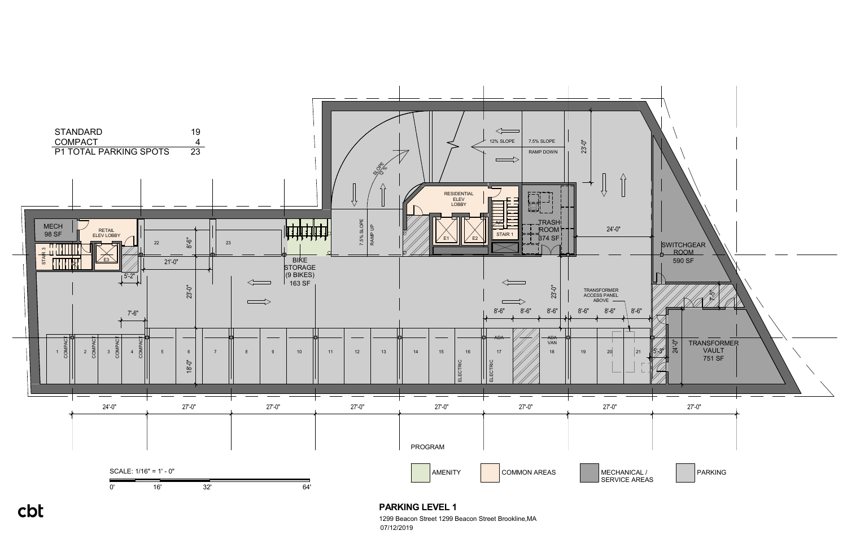

**PARKING LEVEL 1**

1299 Beacon Street 1299 Beacon Street Brookline,MA 07/12/2019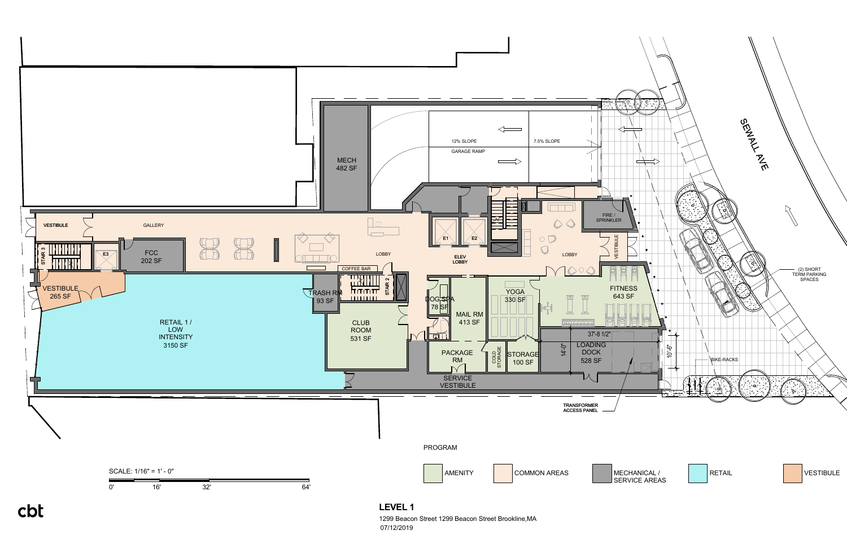

07/12/2019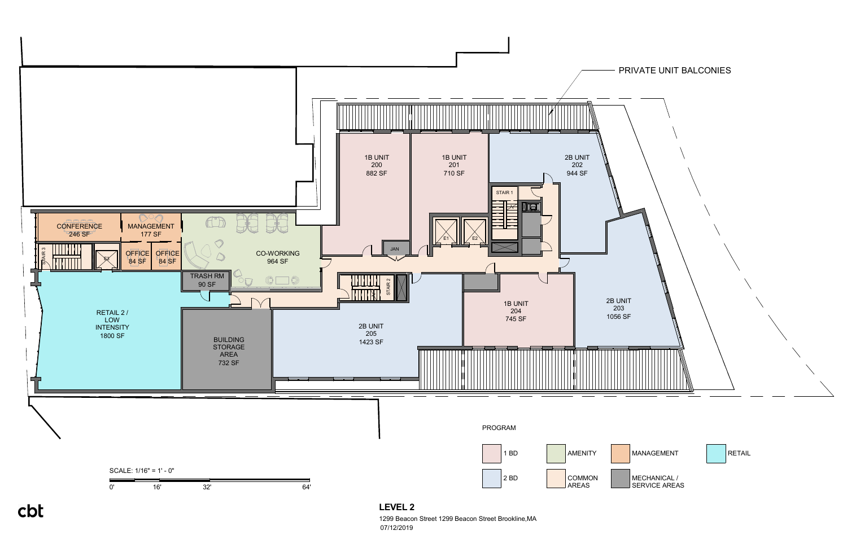

cbt

**LEVEL 2**

1299 Beacon Street 1299 Beacon Street Brookline,MA 07/12/2019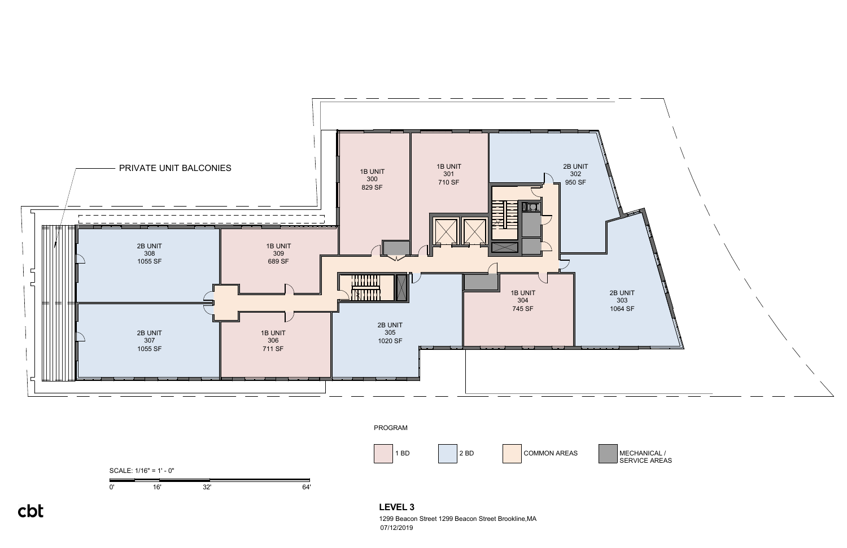



cbt

1299 Beacon Street 1299 Beacon Street Brookline,MA 07/12/2019

MECHANICAL /<br>SERVICE AREAS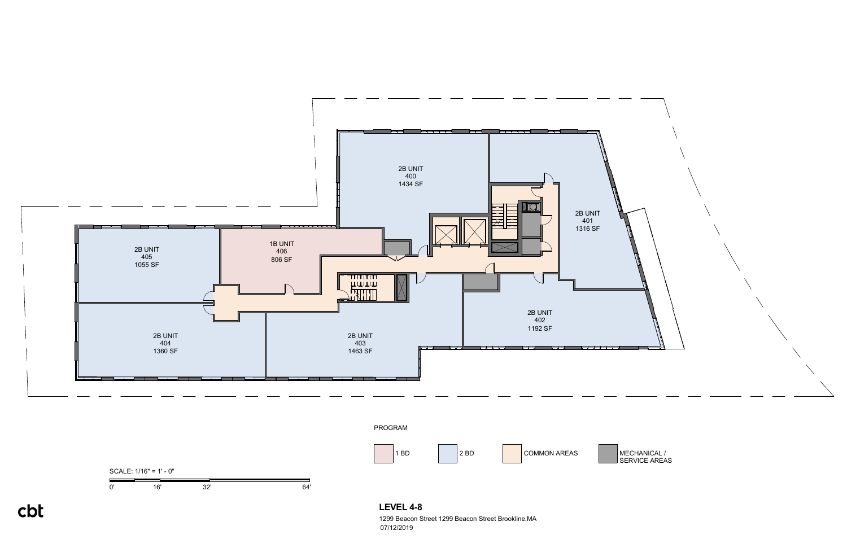0' 16' 32' 64'

SCALE: 1/16" = 1' - 0"



**LEVEL 4-8** 1299 Beacon Street 1299 Beacon Street Brookline,MA

07/12/2019

cbt